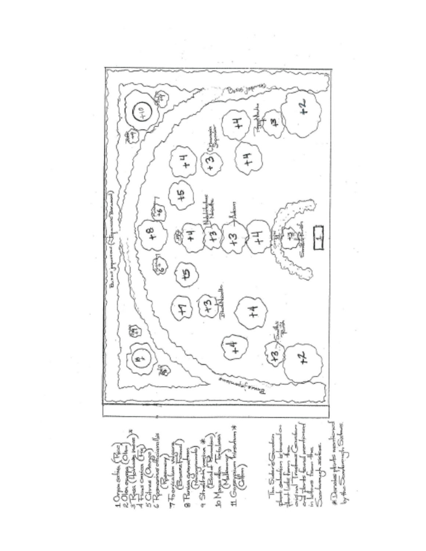